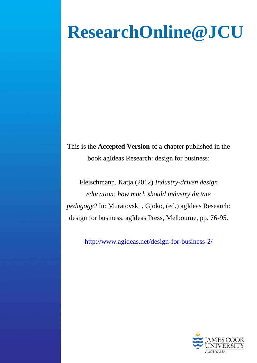# **ResearchOnline@JCU**

This is the **Accepted Version** of a chapter published in the book agIdeas Research: design for business:

Fleischmann, Katja (2012) *Industry-driven design education: how much should industry dictate pedagogy?* In: Muratovski , Gjoko, (ed.) agIdeas Research: design for business. agIdeas Press, Melbourne, pp. 76-95.

<http://www.agideas.net/design-for-business-2/>

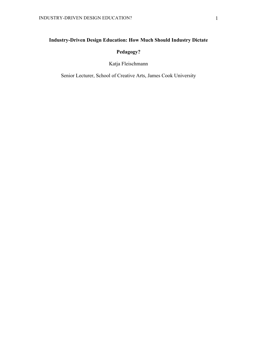# **Industry-Driven Design Education: How Much Should Industry Dictate**

# **Pedagogy?**

# Katja Fleischmann

Senior Lecturer, School of Creative Arts, James Cook University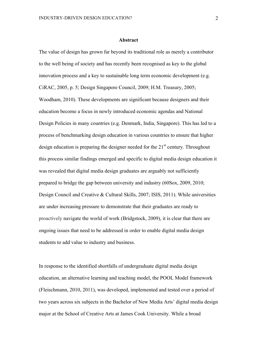#### **Abstract**

The value of design has grown far beyond its traditional role as merely a contributor to the well being of society and has recently been recognised as key to the global innovation process and a key to sustainable long term economic development (e.g. CiRAC, 2005, p. 5; Design Singapore Council, 2009; H.M. Treasury, 2005; Woodham, 2010). These developments are significant because designers and their education become a focus in newly introduced economic agendas and National Design Policies in many countries (e.g. Denmark, India, Singapore). This has led to a process of benchmarking design education in various countries to ensure that higher design education is preparing the designer needed for the  $21<sup>st</sup>$  century. Throughout this process similar findings emerged and specific to digital media design education it was revealed that digital media design graduates are arguably not sufficiently prepared to bridge the gap between university and industry (60Sox, 2009, 2010; Design Council and Creative & Cultural Skills, 2007; ISIS, 2011). While universities are under increasing pressure to demonstrate that their graduates are ready to proactively navigate the world of work (Bridgstock, 2009), it is clear that there are ongoing issues that need to be addressed in order to enable digital media design students to add value to industry and business.

In response to the identified shortfalls of undergraduate digital media design education, an alternative learning and teaching model, the POOL Model framework (Fleischmann, 2010, 2011), was developed, implemented and tested over a period of two years across six subjects in the Bachelor of New Media Arts' digital media design major at the School of Creative Arts at James Cook University. While a broad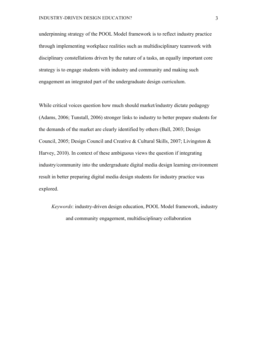underpinning strategy of the POOL Model framework is to reflect industry practice through implementing workplace realities such as multidisciplinary teamwork with disciplinary constellations driven by the nature of a tasks, an equally important core strategy is to engage students with industry and community and making such engagement an integrated part of the undergraduate design curriculum.

While critical voices question how much should market/industry dictate pedagogy (Adams, 2006; Tunstall, 2006) stronger links to industry to better prepare students for the demands of the market are clearly identified by others (Ball, 2003; Design Council, 2005; Design Council and Creative & Cultural Skills, 2007; Livingston & Harvey, 2010). In context of these ambiguous views the question if integrating industry/community into the undergraduate digital media design learning environment result in better preparing digital media design students for industry practice was explored.

*Keywords*: industry-driven design education, POOL Model framework, industry and community engagement, multidisciplinary collaboration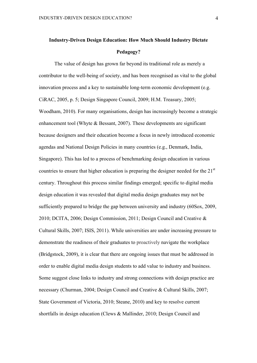# **Industry-Driven Design Education: How Much Should Industry Dictate Pedagogy?**

The value of design has grown far beyond its traditional role as merely a contributor to the well-being of society, and has been recognised as vital to the global innovation process and a key to sustainable long-term economic development (e.g. CiRAC, 2005, p. 5; Design Singapore Council, 2009; H.M. Treasury, 2005; Woodham, 2010). For many organisations, design has increasingly become a strategic enhancement tool (Whyte & Bessant, 2007). These developments are significant because designers and their education become a focus in newly introduced economic agendas and National Design Policies in many countries (e.g., Denmark, India, Singapore). This has led to a process of benchmarking design education in various countries to ensure that higher education is preparing the designer needed for the  $21<sup>st</sup>$ century. Throughout this process similar findings emerged; specific to digital media design education it was revealed that digital media design graduates may not be sufficiently prepared to bridge the gap between university and industry (60Sox, 2009, 2010; DCITA, 2006; Design Commission, 2011; Design Council and Creative & Cultural Skills, 2007; ISIS, 2011). While universities are under increasing pressure to demonstrate the readiness of their graduates to proactively navigate the workplace (Bridgstock, 2009), it is clear that there are ongoing issues that must be addressed in order to enable digital media design students to add value to industry and business. Some suggest close links to industry and strong connections with design practice are necessary (Churman, 2004; Design Council and Creative & Cultural Skills, 2007; State Government of Victoria, 2010; Steane, 2010) and key to resolve current shortfalls in design education (Clews & Mallinder, 2010; Design Council and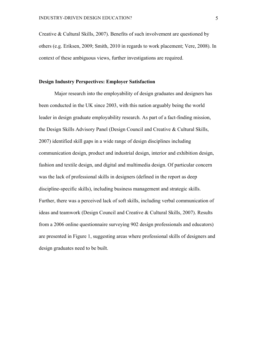Creative & Cultural Skills, 2007). Benefits of such involvement are questioned by others (e.g. Eriksen, 2009; Smith, 2010 in regards to work placement; Vere, 2008). In context of these ambiguous views, further investigations are required.

#### **Design Industry Perspectives: Employer Satisfaction**

Major research into the employability of design graduates and designers has been conducted in the UK since 2003, with this nation arguably being the world leader in design graduate employability research. As part of a fact-finding mission, the Design Skills Advisory Panel (Design Council and Creative & Cultural Skills, 2007) identified skill gaps in a wide range of design disciplines including communication design, product and industrial design, interior and exhibition design, fashion and textile design, and digital and multimedia design. Of particular concern was the lack of professional skills in designers (defined in the report as deep discipline-specific skills), including business management and strategic skills. Further, there was a perceived lack of soft skills, including verbal communication of ideas and teamwork (Design Council and Creative & Cultural Skills, 2007). Results from a 2006 online questionnaire surveying 902 design professionals and educators) are presented in Figure 1, suggesting areas where professional skills of designers and design graduates need to be built.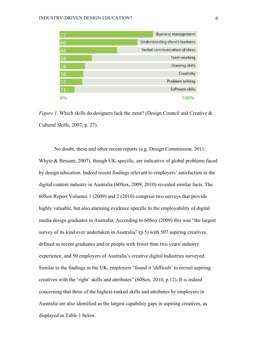| 72              | <b>Business management</b>      |
|-----------------|---------------------------------|
| 60              | Understanding client's business |
| 44              | Verbal communication of ideas   |
| $\overline{24}$ | Team working                    |
| 19              | Drawing skills                  |
| 18              | Creativity                      |
| 17              | Problem solving                 |
| $\overline{11}$ | Software skills                 |
| 0%              | 100%                            |

*Figure 1.* Which skills do designers lack the most? (Design Council and Creative & Cultural Skills, 2007, p. 27).

No doubt, these and other recent reports (e.g. Design Commission, 2011; Whyte & Bessant, 2007), though UK-specific, are indicative of global problems faced by design education. Indeed recent findings relevant to employers' satisfaction in the digital content industry in Australia (60Sox, 2009, 2010) revealed similar facts. The 60Sox Report Volumes 1 (2009) and 2 (2010) comprise two surveys that provide highly valuable, but also alarming evidence specific to the employability of digital media design graduates in Australia. According to 60Sox (2009) this was "the largest survey of its kind ever undertaken in Australia" (p.5) with 507 aspiring creatives, defined as recent graduates and/or people with fewer than two years' industry experience, and 50 employers of Australia's creative digital industries surveyed. Similar to the findings in the UK, employers "found it 'difficult' to recruit aspiring creatives with the 'right' skills and attributes" (60Sox, 2010, p.12). It is indeed concerning that three of the highest-ranked skills and attributes by employers in Australia are also identified as the largest capability gaps in aspiring creatives, as displayed in Table 1 below.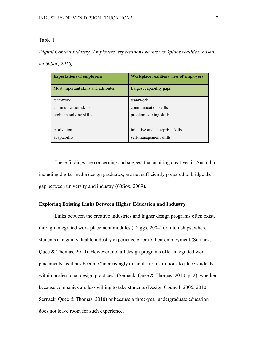*Digital Content Industry: Employers' expectations versus workplace realities (based on 60Sox, 2010)*

| <b>Expectations of employers</b>     | <b>Workplace realities / view of employers</b> |
|--------------------------------------|------------------------------------------------|
| Most important skills and attributes | Largest capability gaps                        |
| teamwork                             | teamwork                                       |
| communication skills                 | communication skills                           |
| problem-solving skills               | problem-solving skills                         |
| motivation                           | initiative and enterprise skills               |
| adaptability                         | self-management skills                         |

These findings are concerning and suggest that aspiring creatives in Australia, including digital media design graduates, are not sufficiently prepared to bridge the gap between university and industry (60Sox, 2009).

#### **Exploring Existing Links Between Higher Education and Industry**

Links between the creative industries and higher design programs often exist, through integrated work placement modules (Triggs, 2004) or internships, where students can gain valuable industry experience prior to their employment (Sernack, Quee & Thomas, 2010). However, not all design programs offer integrated work placements, as it has become "increasingly difficult for institutions to place students within professional design practices" (Sernack, Quee & Thomas, 2010, p. 2), whether because companies are less willing to take students (Design Council, 2005, 2010; Sernack, Quee & Thomas, 2010) or because a three-year undergraduate education does not leave room for such experience.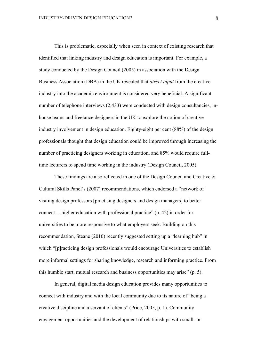This is problematic, especially when seen in context of existing research that identified that linking industry and design education is important. For example, a study conducted by the Design Council (2005) in association with the Design Business Association (DBA) in the UK revealed that *direct input* from the creative industry into the academic environment is considered very beneficial. A significant number of telephone interviews (2,433) were conducted with design consultancies, inhouse teams and freelance designers in the UK to explore the notion of creative industry involvement in design education. Eighty-eight per cent (88%) of the design professionals thought that design education could be improved through increasing the number of practicing designers working in education, and 85% would require fulltime lecturers to spend time working in the industry (Design Council, 2005).

These findings are also reflected in one of the Design Council and Creative & Cultural Skills Panel's (2007) recommendations, which endorsed a "network of visiting design professors [practising designers and design managers] to better connect …higher education with professional practice" (p. 42) in order for universities to be more responsive to what employers seek. Building on this recommendation, Steane (2010) recently suggested setting up a "learning hub" in which "[p]racticing design professionals would encourage Universities to establish more informal settings for sharing knowledge, research and informing practice. From this humble start, mutual research and business opportunities may arise" (p. 5).

In general, digital media design education provides many opportunities to connect with industry and with the local community due to its nature of "being a creative discipline and a servant of clients" (Price, 2005, p. 1). Community engagement opportunities and the development of relationships with small- or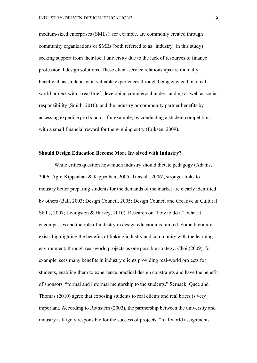medium-sized enterprises (SMEs), for example, are commonly created through community organizations or SMEs (both referred to as "industry" in this study) seeking support from their local university due to the lack of resources to finance professional design solutions. These client-service relationships are mutually beneficial, as students gain valuable experiences through being engaged in a realworld project with a real brief, developing commercial understanding as well as social responsibility (Smith, 2010), and the industry or community partner benefits by accessing expertise pro bono or, for example, by conducting a student competition with a small financial reward for the winning entry (Eriksen, 2009).

#### **Should Design Education Become More Involved with Industry?**

While critics question how much industry should dictate pedagogy (Adams, 2006; Agre-Kippenhan & Kippenhan, 2005; Tunstall, 2006), stronger links to industry better preparing students for the demands of the market are clearly identified by others (Ball, 2003; Design Council, 2005; Design Council and Creative & Cultural Skills, 2007; Livingston & Harvey, 2010). Research on "how to do it", what it encompasses and the role of industry in design education is limited. Some literature exists highlighting the benefits of linking industry and community with the learning environment, through real-world projects as one possible strategy. Choi (2009), for example, sees many benefits in industry clients providing real-world projects for students, enabling them to experience practical design constraints and have the benefit of sponsors' "formal and informal mentorship to the students." Sernack, Quee and Thomas (2010) agree that exposing students to real clients and real briefs is very important. According to Rothstein (2002), the partnership between the university and industry is largely responsible for the success of projects: "real-world assignments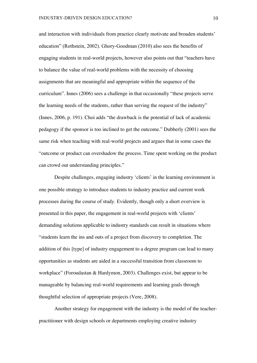and interaction with individuals from practice clearly motivate and broaden students' education" (Rothstein, 2002). Ghory-Goodman (2010) also sees the benefits of engaging students in real-world projects, however also points out that "teachers have to balance the value of real-world problems with the necessity of choosing assignments that are meaningful and appropriate within the sequence of the curriculum". Innes (2006) sees a challenge in that occasionally "these projects serve the learning needs of the students, rather than serving the request of the industry" (Innes, 2006, p. 191). Choi adds "the drawback is the potential of lack of academic pedagogy if the sponsor is too inclined to get the outcome." Dubberly (2001) sees the same risk when teaching with real-world projects and argues that in some cases the "outcome or product can overshadow the process. Time spent working on the product can crowd out understanding principles."

Despite challenges, engaging industry 'clients' in the learning environment is one possible strategy to introduce students to industry practice and current work processes during the course of study. Evidently, though only a short overview is presented in this paper, the engagement in real-world projects with 'clients' demanding solutions applicable to industry standards can result in situations where "students learn the ins and outs of a project from discovery to completion. The addition of this [type] of industry engagement to a degree program can lead to many opportunities as students are aided in a successful transition from classroom to workplace" (Foroudastan & Hardymon, 2003). Challenges exist, but appear to be manageable by balancing real-world requirements and learning goals through thoughtful selection of appropriate projects (Vere, 2008).

Another strategy for engagement with the industry is the model of the teacherpractitioner with design schools or departments employing creative industry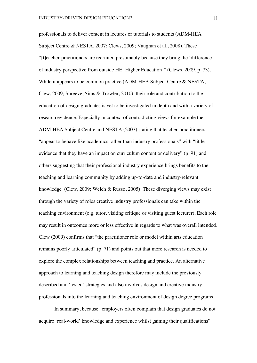professionals to deliver content in lectures or tutorials to students (ADM-HEA Subject Centre & NESTA, 2007; Clews, 2009; Vaughan et al., 2008). These "[t]eacher-practitioners are recruited presumably because they bring the 'difference' of industry perspective from outside HE [Higher Education]" (Clews, 2009, p. 73). While it appears to be common practice (ADM-HEA Subject Centre & NESTA, Clew, 2009; Shreeve, Sims & Trowler, 2010), their role and contribution to the education of design graduates is yet to be investigated in depth and with a variety of research evidence. Especially in context of contradicting views for example the ADM-HEA Subject Centre and NESTA (2007) stating that teacher-practitioners "appear to behave like academics rather than industry professionals" with "little evidence that they have an impact on curriculum content or delivery" (p. 91) and others suggesting that their professional industry experience brings benefits to the teaching and learning community by adding up-to-date and industry-relevant knowledge (Clew, 2009; Welch & Russo, 2005). These diverging views may exist through the variety of roles creative industry professionals can take within the teaching environment (e.g. tutor, visiting critique or visiting guest lecturer). Each role may result in outcomes more or less effective in regards to what was overall intended. Clew (2009) confirms that "the practitioner role or model within arts education remains poorly articulated" (p. 71) and points out that more research is needed to explore the complex relationships between teaching and practice. An alternative approach to learning and teaching design therefore may include the previously described and 'tested' strategies and also involves design and creative industry professionals into the learning and teaching environment of design degree programs.

In summary, because "employers often complain that design graduates do not acquire 'real-world' knowledge and experience whilst gaining their qualifications"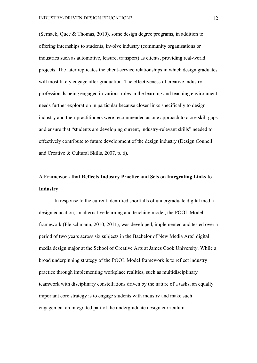(Sernack, Quee & Thomas, 2010), some design degree programs, in addition to offering internships to students, involve industry (community organisations or industries such as automotive, leisure, transport) as clients, providing real-world projects. The later replicates the client-service relationships in which design graduates will most likely engage after graduation. The effectiveness of creative industry professionals being engaged in various roles in the learning and teaching environment needs further exploration in particular because closer links specifically to design industry and their practitioners were recommended as one approach to close skill gaps and ensure that "students are developing current, industry-relevant skills" needed to effectively contribute to future development of the design industry (Design Council and Creative & Cultural Skills, 2007, p. 6).

# **A Framework that Reflects Industry Practice and Sets on Integrating Links to Industry**

In response to the current identified shortfalls of undergraduate digital media design education, an alternative learning and teaching model, the POOL Model framework (Fleischmann, 2010, 2011), was developed, implemented and tested over a period of two years across six subjects in the Bachelor of New Media Arts' digital media design major at the School of Creative Arts at James Cook University. While a broad underpinning strategy of the POOL Model framework is to reflect industry practice through implementing workplace realities, such as multidisciplinary teamwork with disciplinary constellations driven by the nature of a tasks, an equally important core strategy is to engage students with industry and make such engagement an integrated part of the undergraduate design curriculum.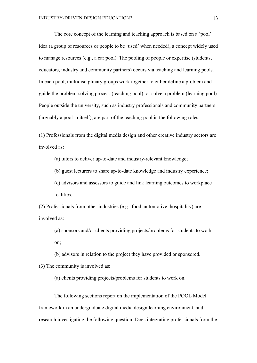The core concept of the learning and teaching approach is based on a 'pool' idea (a group of resources or people to be 'used' when needed), a concept widely used to manage resources (e.g., a car pool). The pooling of people or expertise (students, educators, industry and community partners) occurs via teaching and learning pools. In each pool, multidisciplinary groups work together to either define a problem and guide the problem-solving process (teaching pool), or solve a problem (learning pool). People outside the university, such as industry professionals and community partners (arguably a pool in itself), are part of the teaching pool in the following roles:

(1) Professionals from the digital media design and other creative industry sectors are involved as:

(a) tutors to deliver up-to-date and industry-relevant knowledge;

(b) guest lecturers to share up-to-date knowledge and industry experience;

(c) advisors and assessors to guide and link learning outcomes to workplace realities.

(2) Professionals from other industries (e.g., food, automotive, hospitality) are involved as:

(a) sponsors and/or clients providing projects/problems for students to work on;

(b) advisors in relation to the project they have provided or sponsored.

(3) The community is involved as:

(a) clients providing projects/problems for students to work on.

The following sections report on the implementation of the POOL Model framework in an undergraduate digital media design learning environment, and research investigating the following question: Does integrating professionals from the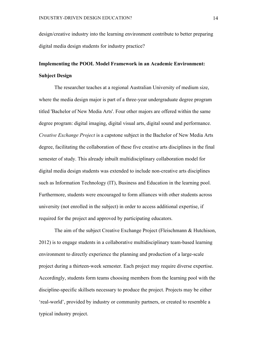design/creative industry into the learning environment contribute to better preparing digital media design students for industry practice?

# **Implementing the POOL Model Framework in an Academic Environment: Subject Design**

The researcher teaches at a regional Australian University of medium size, where the media design major is part of a three-year undergraduate degree program titled 'Bachelor of New Media Arts'. Four other majors are offered within the same degree program: digital imaging, digital visual arts, digital sound and performance. *Creative Exchange Project* is a capstone subject in the Bachelor of New Media Arts degree, facilitating the collaboration of these five creative arts disciplines in the final semester of study. This already inbuilt multidisciplinary collaboration model for digital media design students was extended to include non-creative arts disciplines such as Information Technology (IT), Business and Education in the learning pool. Furthermore, students were encouraged to form alliances with other students across university (not enrolled in the subject) in order to access additional expertise, if required for the project and approved by participating educators.

The aim of the subject Creative Exchange Project (Fleischmann & Hutchison, 2012) is to engage students in a collaborative multidisciplinary team-based learning environment to directly experience the planning and production of a large-scale project during a thirteen-week semester. Each project may require diverse expertise. Accordingly, students form teams choosing members from the learning pool with the discipline-specific skillsets necessary to produce the project. Projects may be either 'real-world', provided by industry or community partners, or created to resemble a typical industry project.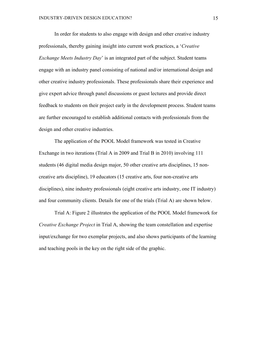In order for students to also engage with design and other creative industry professionals, thereby gaining insight into current work practices, a '*Creative Exchange Meets Industry Day*' is an integrated part of the subject. Student teams engage with an industry panel consisting of national and/or international design and other creative industry professionals. These professionals share their experience and give expert advice through panel discussions or guest lectures and provide direct feedback to students on their project early in the development process. Student teams are further encouraged to establish additional contacts with professionals from the design and other creative industries.

The application of the POOL Model framework was tested in Creative Exchange in two iterations (Trial A in 2009 and Trial B in 2010) involving 111 students (46 digital media design major, 50 other creative arts disciplines, 15 noncreative arts discipline), 19 educators (15 creative arts, four non-creative arts disciplines), nine industry professionals (eight creative arts industry, one IT industry) and four community clients. Details for one of the trials (Trial A) are shown below.

Trial A: Figure 2 illustrates the application of the POOL Model framework for *Creative Exchange Project* in Trial A, showing the team constellation and expertise input/exchange for two exemplar projects, and also shows participants of the learning and teaching pools in the key on the right side of the graphic.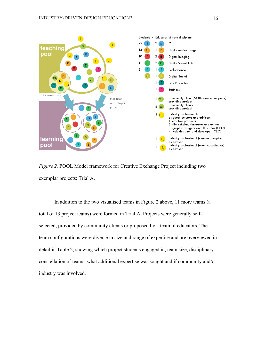

*Figure 2.* POOL Model framework for Creative Exchange Project including two exemplar projects: Trial A.

In addition to the two visualised teams in Figure 2 above, 11 more teams (a total of 13 project teams) were formed in Trial A. Projects were generally selfselected, provided by community clients or proposed by a team of educators. The team configurations were diverse in size and range of expertise and are overviewed in detail in Table 2, showing which project students engaged in, team size, disciplinary constellation of teams, what additional expertise was sought and if community and/or industry was involved.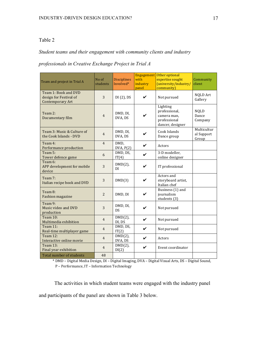#### *Student teams and their engagement with community clients and industry*

#### *professionals in Creative Exchange Project in Trial A*

| Team and project in Trial A                                               | No of<br>students | <b>Disciplines</b><br>Involved* | with<br>industry<br>panel | Engagement Other optional<br>expertise sought<br>(university/industry/<br>community) | Community<br>client                |
|---------------------------------------------------------------------------|-------------------|---------------------------------|---------------------------|--------------------------------------------------------------------------------------|------------------------------------|
| Team 1: Book and DVD<br>design for Festival of<br><b>Contemporary Art</b> | 3                 | $DI(2)$ , DS                    | ✔                         | Not pursued                                                                          | <b>NQLD Art</b><br>Gallery         |
| Team 2:<br>Documentary film                                               | $\overline{4}$    | DMD, DI,<br>DVA, DS             |                           | Lighting<br>professional,<br>camera man,<br>professional<br>dancer, designer         |                                    |
| Team 3: Music & Culture of<br>the Cook Islands - DVD                      | $\overline{4}$    | DMD, DI,<br>DVA, DS             | ✔                         | Cook Islands<br>Dance group                                                          | Multicultur<br>al Support<br>Group |
| Team 4:<br>Performance production                                         | $\overline{4}$    | DMD,<br>DVA, P(2)               | V                         | Actors                                                                               |                                    |
| Team 5:<br>Tower defence game                                             | 6                 | DMD, DS,<br>IT(4)               | ✔                         | 3-D modeller,<br>online designer                                                     |                                    |
| Team 6:<br>APP development for mobile<br>device                           | 3                 | $DMD(2)$ ,<br>DI                | ✔                         | IT professional                                                                      |                                    |
| Team $7:$<br>Italian recipe book and DVD                                  | 3                 | DMD(3)                          | ✔                         | Actors and<br>storyboard artist,<br>Italian chef                                     |                                    |
| Team 8:<br><b>Fashion magazine</b>                                        | $\overline{2}$    | DMD, DI                         | ✔                         | Business (1) and<br>journalism<br>students (3)                                       |                                    |
| Team 9:<br>Music video and DVD<br>production                              | 3                 | DMD, DI,<br><b>DS</b>           |                           | Not pursued                                                                          |                                    |
| Team 10:<br>Multimedia exhibition                                         | $\overline{4}$    | $DMD(2)$ ,<br>DI, DS            | V                         | Not pursued                                                                          |                                    |
| <b>Team 11:</b><br>Real-time multiplayer game                             | $\overline{4}$    | DMD, DS,<br>IT(2)               | V                         | Not pursued                                                                          |                                    |
| Team 12:<br>Interactive online movie                                      | $\overline{4}$    | $DMD(2)$ ,<br>DVA, DS           | ✔                         | Actors                                                                               |                                    |
| Team 13:<br>Final year exhibition                                         | $\overline{4}$    | $\overline{D}MD(2)$ ,<br>DI(2)  | V                         | Event coordinator                                                                    |                                    |
| Total number of students                                                  | 48                |                                 |                           |                                                                                      |                                    |

\* DMD – Digital Media Design, DI – Digital Imaging, DVA – Digital Visual Arts, DS – Digital Sound, P – Performance, IT – Information Technology

The activities in which student teams were engaged with the industry panel and participants of the panel are shown in Table 3 below.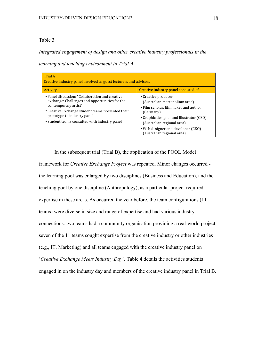*Integrated engagement of design and other creative industry professionals in the* 

*learning and teaching environment in Trial A*

| Trial A<br>Creative industry panel involved as guest lecturers and advisors                                                                                                                                                                                    |                                                                                                                                                                                                                                                          |  |  |  |  |  |
|----------------------------------------------------------------------------------------------------------------------------------------------------------------------------------------------------------------------------------------------------------------|----------------------------------------------------------------------------------------------------------------------------------------------------------------------------------------------------------------------------------------------------------|--|--|--|--|--|
| Activity                                                                                                                                                                                                                                                       | Creative industry panel consisted of                                                                                                                                                                                                                     |  |  |  |  |  |
| • Panel discussion: "Collaboration and creative<br>exchange: Challenges and opportunities for the<br>contemporary artist"<br>• Creative Exchange student teams presented their<br>prototype to industry panel<br>• Student teams consulted with industry panel | • Creative producer<br>(Australian metropolitan area)<br>• Film scholar, filmmaker and author<br>(Germany)<br>• Graphic designer and illustrator (CEO)<br>(Australian regional area)<br>• Web designer and developer (CEO)<br>(Australian regional area) |  |  |  |  |  |

In the subsequent trial (Trial B), the application of the POOL Model framework for *Creative Exchange Project* was repeated. Minor changes occurred the learning pool was enlarged by two disciplines (Business and Education), and the teaching pool by one discipline (Anthropology), as a particular project required expertise in these areas. As occurred the year before, the team configurations (11 teams) were diverse in size and range of expertise and had various industry connections: two teams had a community organisation providing a real-world project, seven of the 11 teams sought expertise from the creative industry or other industries (e.g., IT, Marketing) and all teams engaged with the creative industry panel on '*Creative Exchange Meets Industry Day'*. Table 4 details the activities students engaged in on the industry day and members of the creative industry panel in Trial B.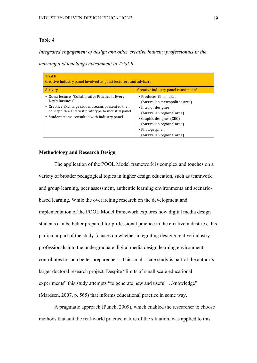*Integrated engagement of design and other creative industry professionals in the* 

*learning and teaching environment in Trial B*

| Trial B<br>Creative industry panel involved as guest lecturers and advisors                                                                                                                                                      |                                                                                                                                                                                                                         |  |  |  |  |  |
|----------------------------------------------------------------------------------------------------------------------------------------------------------------------------------------------------------------------------------|-------------------------------------------------------------------------------------------------------------------------------------------------------------------------------------------------------------------------|--|--|--|--|--|
| Activity                                                                                                                                                                                                                         | Creative industry panel consisted of                                                                                                                                                                                    |  |  |  |  |  |
| • Guest lecture: "Collaborative Practice is Every<br>Day's Business"<br>• Creative Exchange student teams presented their<br>concept idea and first prototype to industry panel<br>• Student teams consulted with industry panel | • Producer, film maker<br>(Australian metropolitan area)<br>• Interior designer<br>(Australian regional area)<br>• Graphic designer (CEO)<br>(Australian regional area)<br>• Photographer<br>(Australian regional area) |  |  |  |  |  |

#### **Methodology and Research Design**

The application of the POOL Model framework is complex and touches on a variety of broader pedagogical topics in higher design education, such as teamwork and group learning, peer assessment, authentic learning environments and scenariobased learning. While the overarching research on the development and implementation of the POOL Model framework explores how digital media design students can be better prepared for professional practice in the creative industries, this particular part of the study focuses on whether integrating design/creative industry professionals into the undergraduate digital media design learning environment contributes to such better preparedness. This small-scale study is part of the author's larger doctoral research project. Despite "limits of small scale educational experiments" this study attempts "to generate new and useful ... knowledge" (Mardsen, 2007, p. 565) that informs educational practice in some way.

A pragmatic approach (Punch, 2009), which enabled the researcher to choose methods that suit the real-world practice nature of the situation, was applied to this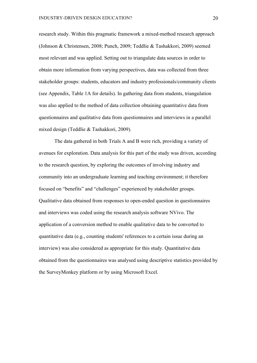research study. Within this pragmatic framework a mixed-method research approach (Johnson & Christensen, 2008; Punch, 2009; Teddlie & Tashakkori, 2009) seemed most relevant and was applied. Setting out to triangulate data sources in order to obtain more information from varying perspectives, data was collected from three stakeholder groups: students, educators and industry professionals/community clients (see Appendix, Table 1A for details). In gathering data from students, triangulation was also applied to the method of data collection obtaining quantitative data from questionnaires and qualitative data from questionnaires and interviews in a parallel mixed design (Teddlie & Tashakkori, 2009).

The data gathered in both Trials A and B were rich, providing a variety of avenues for exploration. Data analysis for this part of the study was driven, according to the research question, by exploring the outcomes of involving industry and community into an undergraduate learning and teaching environment; it therefore focused on "benefits" and "challenges" experienced by stakeholder groups. Qualitative data obtained from responses to open-ended question in questionnaires and interviews was coded using the research analysis software NVivo. The application of a conversion method to enable qualitative data to be converted to quantitative data (e.g., counting students' references to a certain issue during an interview) was also considered as appropriate for this study. Quantitative data obtained from the questionnaires was analysed using descriptive statistics provided by the SurveyMonkey platform or by using Microsoft Excel.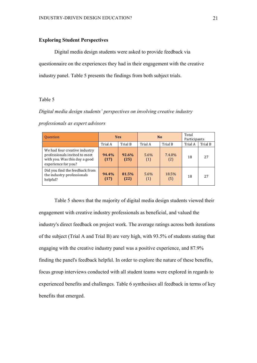#### **Exploring Student Perspectives**

Digital media design students were asked to provide feedback via questionnaire on the experiences they had in their engagement with the creative industry panel. Table 5 presents the findings from both subject trials.

#### Table 5

#### *Digital media design students' perspectives on involving creative industry*

| <b>Question</b>                                                                                                        |               | <b>Yes</b>    |             | N <sub>0</sub> | Total<br>Participants |         |
|------------------------------------------------------------------------------------------------------------------------|---------------|---------------|-------------|----------------|-----------------------|---------|
|                                                                                                                        | Trial A       | Trial B       | Trial A     | Trial B        | Trial A               | Trial B |
| We had four creative industry<br>professionals invited to meet<br>with you. Was this day a good<br>experience for you? | 94.4%<br>(17) | 92.6%<br>(25) | 5.6%<br>(1) | 7.4.0%<br>(2)  | 18                    | 27      |
| Did you find the feedback from<br>the industry professionals<br>helpful?                                               | 94.4%<br>(17) | 81.5%<br>(22) | 5.6%<br>(1) | 18.5%<br>(5)   | 18                    | 27      |

*professionals as expert advisors*

Table 5 shows that the majority of digital media design students viewed their engagement with creative industry professionals as beneficial, and valued the industry's direct feedback on project work. The average ratings across both iterations of the subject (Trial A and Trial B) are very high, with 93.5% of students stating that engaging with the creative industry panel was a positive experience, and 87.9% finding the panel's feedback helpful. In order to explore the nature of these benefits, focus group interviews conducted with all student teams were explored in regards to experienced benefits and challenges. Table 6 synthesises all feedback in terms of key benefits that emerged.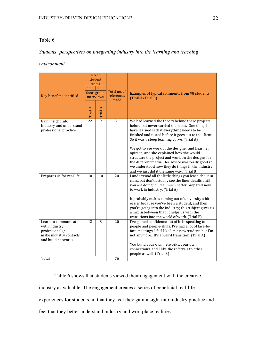## *Students' perspectives on integrating industry into the learning and teaching*

## *environment*

| Key benefits identified                                                                                 | No of<br>student<br>teams<br>11<br>13<br>focus group<br>interviews |         | Total no. of<br>references<br>made | Examples of typical comments from 98 students<br>(Trial A/Trial B)                                                                                                                                                                                                                                                                                                                                                                                                                                                                                                   |  |  |  |
|---------------------------------------------------------------------------------------------------------|--------------------------------------------------------------------|---------|------------------------------------|----------------------------------------------------------------------------------------------------------------------------------------------------------------------------------------------------------------------------------------------------------------------------------------------------------------------------------------------------------------------------------------------------------------------------------------------------------------------------------------------------------------------------------------------------------------------|--|--|--|
|                                                                                                         | Trial A                                                            | Trial B |                                    |                                                                                                                                                                                                                                                                                                                                                                                                                                                                                                                                                                      |  |  |  |
| Gain insight into<br>industry and understand<br>professional practice                                   | 22                                                                 | 9       | 31                                 | We had learned the theory behind these projects<br>before but never carried them out. One thing I<br>have learned is that everything needs to be<br>finished and tested before it goes out to the client.<br>So it was a steep learning curve. (Trial A)<br>We got to see work of the designer and hear her<br>opinion, and she explained how she would<br>structure the project and work on the designs for<br>the different media. Her advice was really good so<br>we understood how they do things in the industry<br>and we just did it the same way. (Trial B) |  |  |  |
| Prepares us for real life                                                                               | 10                                                                 | 10      | 20                                 | I understood all the little things you learn about in<br>class, but don't actually see the finer details until<br>you are doing it. I feel much better prepared now<br>to work in industry. (Trial A)<br>It probably makes coming out of university a bit<br>easier because you've been a student, and then<br>you're going into the industry; this subject gives us<br>a mix in between that. It helps us with the<br>transitions into the world of work. (Trial B)                                                                                                 |  |  |  |
| Learn to communicate<br>with industry<br>professionals/<br>make industry contacts<br>and build networks | 12                                                                 | 8       | 20                                 | I've gained confidence out of it, in speaking to<br>people and people-skills. I've had a lot of face-to-<br>face meetings. I feel like I'm a new student, but I'm<br>not anymore. It's a weird transition. (Trial A)<br>You build your own networks, your own<br>connections, and I like the referrals to other<br>people as well. (Trial B)                                                                                                                                                                                                                         |  |  |  |
| Total                                                                                                   |                                                                    |         | 76                                 |                                                                                                                                                                                                                                                                                                                                                                                                                                                                                                                                                                      |  |  |  |

Table 6 shows that students viewed their engagement with the creative industry as valuable. The engagement creates a series of beneficial real-life experiences for students, in that they feel they gain insight into industry practice and feel that they better understand industry and workplace realities.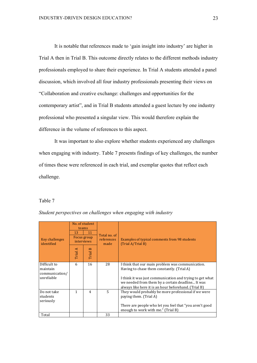It is notable that references made to 'gain insight into industry' are higher in Trial A then in Trial B. This outcome directly relates to the different methods industry professionals employed to share their experience. In Trial A students attended a panel discussion, which involved all four industry professionals presenting their views on "Collaboration and creative exchange: challenges and opportunities for the contemporary artist", and in Trial B students attended a guest lecture by one industry professional who presented a singular view. This would therefore explain the difference in the volume of references to this aspect.

It was important to also explore whether students experienced any challenges when engaging with industry. Table 7 presents findings of key challenges, the number of times these were referenced in each trial, and exemplar quotes that reflect each challenge.

#### Table 7

| Key challenges<br>identified               | No. of student<br>teams<br>13<br>11<br>Focus group<br>interviews<br>Trial A<br>FinalB |                | Total no. of<br>references<br>made | Examples of typical comments from 98 students<br>(Trial A/Trial B)                                                                                                   |
|--------------------------------------------|---------------------------------------------------------------------------------------|----------------|------------------------------------|----------------------------------------------------------------------------------------------------------------------------------------------------------------------|
|                                            |                                                                                       |                |                                    |                                                                                                                                                                      |
| Difficult to<br>maintain<br>communication/ | 6                                                                                     | 16             | 28                                 | I think that our main problem was communication.<br>Having to chase them constantly. (Trial A)                                                                       |
| unreliable                                 |                                                                                       |                |                                    | I think it was just communication and trying to get what<br>we needed from them by a certain deadline It was<br>always like here it is an hour beforehand. (Trial B) |
| Do not take<br>students<br>seriously       | $\mathbf{1}$                                                                          | $\overline{4}$ | 5.                                 | They would probably be more professional if we were<br>paying them. (Trial A)                                                                                        |
|                                            |                                                                                       |                |                                    | There are people who let you feel that "you aren't good<br>enough to work with me." (Trial B)                                                                        |
| Total                                      |                                                                                       |                | 33                                 |                                                                                                                                                                      |

*Student perspectives on challenges when engaging with industry*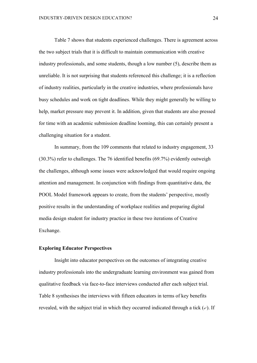Table 7 shows that students experienced challenges. There is agreement across the two subject trials that it is difficult to maintain communication with creative industry professionals, and some students, though a low number (5), describe them as unreliable. It is not surprising that students referenced this challenge; it is a reflection of industry realities, particularly in the creative industries, where professionals have busy schedules and work on tight deadlines. While they might generally be willing to help, market pressure may prevent it. In addition, given that students are also pressed for time with an academic submission deadline looming, this can certainly present a challenging situation for a student.

In summary, from the 109 comments that related to industry engagement, 33 (30.3%) refer to challenges. The 76 identified benefits (69.7%) evidently outweigh the challenges, although some issues were acknowledged that would require ongoing attention and management. In conjunction with findings from quantitative data, the POOL Model framework appears to create, from the students' perspective, mostly positive results in the understanding of workplace realities and preparing digital media design student for industry practice in these two iterations of Creative Exchange.

#### **Exploring Educator Perspectives**

Insight into educator perspectives on the outcomes of integrating creative industry professionals into the undergraduate learning environment was gained from qualitative feedback via face-to-face interviews conducted after each subject trial. Table 8 synthesises the interviews with fifteen educators in terms of key benefits revealed, with the subject trial in which they occurred indicated through a tick  $(\checkmark)$ . If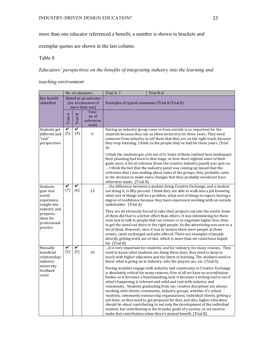more than one educator referenced a benefit, a number is shown in brackets and

exemplar quotes are shown in the last column.

#### Table 8

# *Educators' perspectives on the benefits of integrating industry into the learning and*

# *teaching environment*

|                                                                  |          |          | No. of educators                                               | Trial A: 7                                                                                                                                                                                                                                                                                                                                                                                                                                                                                                                                                                                                                                                                                                                                                                                                                                                      | Trial B: 8 |  |  |  |  |
|------------------------------------------------------------------|----------|----------|----------------------------------------------------------------|-----------------------------------------------------------------------------------------------------------------------------------------------------------------------------------------------------------------------------------------------------------------------------------------------------------------------------------------------------------------------------------------------------------------------------------------------------------------------------------------------------------------------------------------------------------------------------------------------------------------------------------------------------------------------------------------------------------------------------------------------------------------------------------------------------------------------------------------------------------------|------------|--|--|--|--|
| Key benefit<br>identified                                        |          |          | Stated as an outcome<br>(no. of educators if<br>more than one) | Examples of typical comments (Trial A/Trial B)                                                                                                                                                                                                                                                                                                                                                                                                                                                                                                                                                                                                                                                                                                                                                                                                                  |            |  |  |  |  |
|                                                                  | Trial A  | Trial B  | Total<br>no. of<br>references<br>made                          |                                                                                                                                                                                                                                                                                                                                                                                                                                                                                                                                                                                                                                                                                                                                                                                                                                                                 |            |  |  |  |  |
| Students get<br>different and<br>"real"<br>perspectives          | V<br>(5) | V<br>(4) | 9                                                              | Having an industry group come in from outside is so important for the<br>students because they see us [their lecturers] for three years. They need<br>someone from industry to tell them that they are on the right track, because<br>they stop listening, I think, to the people they've had for three years. (Trial<br>A)                                                                                                                                                                                                                                                                                                                                                                                                                                                                                                                                     |            |  |  |  |  |
|                                                                  |          |          |                                                                | I think the students got a lot out of it. Some of them realized how inadequate<br>their planning had been to that stage, or how short-sighted some of their<br>goals were. A lot of criticism [from the creative industry panel] was spot on,<br>I think the fact that the industry panel was coming up meant that the<br>criticisms that I was making about some of the groups, they probably came<br>to the decision to make some changes that they probably would not have<br>otherwise made. (Trial B)                                                                                                                                                                                                                                                                                                                                                      |            |  |  |  |  |
| Students<br>gain real-<br>world<br>experience,<br>insight into   | V<br>(7) | V<br>(6) | 13                                                             | the difference between a student doing Creative Exchange, and a student<br>not doing it, is fifty percent. I think they are able to walk into a job knowing<br>what sort of things will be a problem, what sort of things to expect, having a<br>degree of confidence because they have experience working with an outside<br>stakeholder. (Trial A)                                                                                                                                                                                                                                                                                                                                                                                                                                                                                                            |            |  |  |  |  |
| industry and<br>prepares<br>them for<br>professional<br>practice |          |          |                                                                | They are all obviously forced to take their projects out into the world. Some<br>of them did that to a better effect than others. It was intimidating for them<br>even just to talk to people that ran venues or to negotiate higher fees, then<br>to get the word out there to the right people. So the advertising was new to a<br>lot of them. However, once it was in motion there were people at those<br>events, cards exchanged and jobs offered. There are examples of people<br>directly getting work out of that, which is more than we could have hoped<br>for. (Trial B)                                                                                                                                                                                                                                                                            |            |  |  |  |  |
| Mutually<br>beneficial<br>relationship/<br>industry-             | V<br>(5) | V<br>(5) | 10                                                             | it is very important for students, and for industry, for many reasons. They<br>need to know what students are doing these days; they need to keep in<br>touch with higher education and the latest in learning. The students need to<br>know what is going on in industry, who the players are, etc. (Trial A)                                                                                                                                                                                                                                                                                                                                                                                                                                                                                                                                                  |            |  |  |  |  |
| university<br>feedback<br>circle                                 |          |          |                                                                | Having students engage with industry and community in Creative Exchange<br>is absolutely critical for many reasons; first of all we have no accreditation<br>bodies so it becomes a benchmarking tool; it becomes a testing tool to see if<br>what's happening is relevant and valid and real with industry and<br>community. Students graduating from our creative disciplines are always<br>working with clients, community, industry groups, whether it's school<br>students, community outsourcing organizations, individual clients, getting a<br>job done, so they need to get prepared for that, and also, higher education<br>should be about contributing to not only the development of the individual<br>student, but contributing to the broader goals of a society, so we need to<br>make that contribution when there's mutual benefit. (Trial B) |            |  |  |  |  |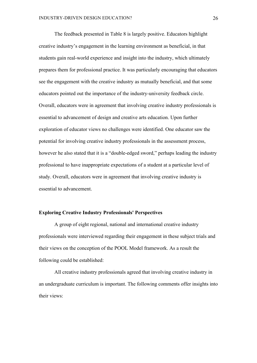The feedback presented in Table 8 is largely positive. Educators highlight creative industry's engagement in the learning environment as beneficial, in that students gain real-world experience and insight into the industry, which ultimately prepares them for professional practice. It was particularly encouraging that educators see the engagement with the creative industry as mutually beneficial, and that some educators pointed out the importance of the industry-university feedback circle. Overall, educators were in agreement that involving creative industry professionals is essential to advancement of design and creative arts education. Upon further exploration of educator views no challenges were identified. One educator saw the potential for involving creative industry professionals in the assessment process, however he also stated that it is a "double-edged sword," perhaps leading the industry professional to have inappropriate expectations of a student at a particular level of study. Overall, educators were in agreement that involving creative industry is essential to advancement.

#### **Exploring Creative Industry Professionals' Perspectives**

A group of eight regional, national and international creative industry professionals were interviewed regarding their engagement in these subject trials and their views on the conception of the POOL Model framework. As a result the following could be established:

All creative industry professionals agreed that involving creative industry in an undergraduate curriculum is important. The following comments offer insights into their views: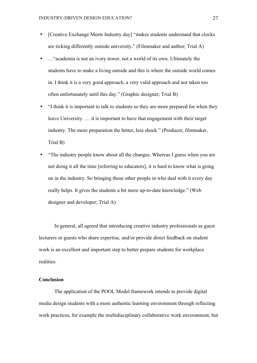- [Creative Exchange Meets Industry day] "makes students understand that clocks are ticking differently outside university." (Filmmaker and author; Trial A)
- ... "academia is not an ivory tower, not a world of its own. Ultimately the students have to make a living outside and this is where the outside world comes in. I think it is a very good approach, a very valid approach and not taken too often unfortunately until this day." (Graphic designer; Trial B)
- "I think it is important to talk to students so they are more prepared for when they leave University. … it is important to have that engagement with their target industry. The more preparation the better, less shock." (Producer, filmmaker, Trial B)
- "The industry people know about all the changes. Whereas I guess when you are not doing it all the time [referring to educators], it is hard to know what is going on in the industry. So bringing those other people in who deal with it every day really helps. It gives the students a bit more up-to-date knowledge." (Web designer and developer; Trial A)

In general, all agreed that introducing creative industry professionals as guest lecturers or guests who share expertise, and/or provide direct feedback on student work is an excellent and important step to better prepare students for workplace realities.

#### **Conclusion**

The application of the POOL Model framework intends to provide digital media design students with a more authentic learning environment through reflecting work practices, for example the multidisciplinary collaborative work environment, but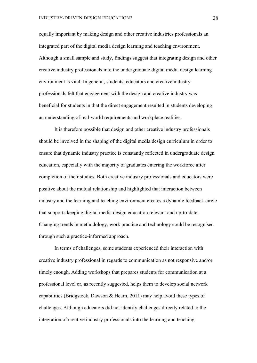equally important by making design and other creative industries professionals an integrated part of the digital media design learning and teaching environment. Although a small sample and study, findings suggest that integrating design and other creative industry professionals into the undergraduate digital media design learning environment is vital. In general, students, educators and creative industry professionals felt that engagement with the design and creative industry was beneficial for students in that the direct engagement resulted in students developing an understanding of real-world requirements and workplace realities.

It is therefore possible that design and other creative industry professionals should be involved in the shaping of the digital media design curriculum in order to ensure that dynamic industry practice is constantly reflected in undergraduate design education, especially with the majority of graduates entering the workforce after completion of their studies. Both creative industry professionals and educators were positive about the mutual relationship and highlighted that interaction between industry and the learning and teaching environment creates a dynamic feedback circle that supports keeping digital media design education relevant and up-to-date. Changing trends in methodology, work practice and technology could be recognised through such a practice-informed approach.

In terms of challenges, some students experienced their interaction with creative industry professional in regards to communication as not responsive and/or timely enough. Adding workshops that prepares students for communication at a professional level or, as recently suggested, helps them to develop social network capabilities (Bridgstock, Dawson & Hearn, 2011) may help avoid these types of challenges. Although educators did not identify challenges directly related to the integration of creative industry professionals into the learning and teaching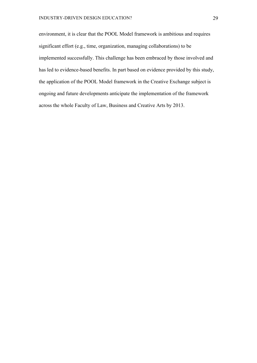environment, it is clear that the POOL Model framework is ambitious and requires significant effort (e.g., time, organization, managing collaborations) to be implemented successfully. This challenge has been embraced by those involved and has led to evidence-based benefits. In part based on evidence provided by this study, the application of the POOL Model framework in the Creative Exchange subject is ongoing and future developments anticipate the implementation of the framework across the whole Faculty of Law, Business and Creative Arts by 2013.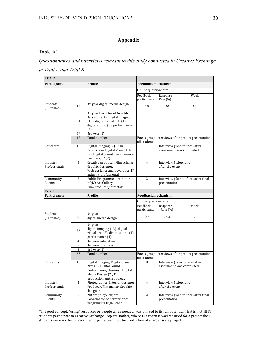# **Appendix**

## Table A1

*Questionnaires and interviews relevant to this study conducted in Creative Exchange in Trial A and Trial B*

| <b>Trial A</b>                 |                |                                                                                                                                                     |                                                                 |                                                            |                                                    |  |
|--------------------------------|----------------|-----------------------------------------------------------------------------------------------------------------------------------------------------|-----------------------------------------------------------------|------------------------------------------------------------|----------------------------------------------------|--|
| <b>Participants</b>            |                | Profile                                                                                                                                             | <b>Feedback mechanism</b>                                       |                                                            |                                                    |  |
|                                |                |                                                                                                                                                     | Online questionnaire                                            |                                                            |                                                    |  |
|                                |                |                                                                                                                                                     | Feedback<br>participants                                        | Response<br>Rate (%)                                       | Week                                               |  |
| Students<br>18<br>$(13$ teams) |                | 3rd year digital media design                                                                                                                       | 18                                                              | 100                                                        | 13                                                 |  |
|                                | 24             | 3rd year Bachelor of New Media<br>Arts students: digital imaging<br>(10), digital visual arts (4),<br>digital sound (8), performance<br>(2)         |                                                                 |                                                            |                                                    |  |
|                                | $6*$           | 3rd year IT                                                                                                                                         |                                                                 |                                                            |                                                    |  |
|                                | 48             | Total number                                                                                                                                        | all students                                                    |                                                            | Focus group interviews after project presentation: |  |
| Educators                      | 10             | Digital Imaging (2), Film<br>Production, Digital Visual Arts<br>(2), Digital Sound, Performance,<br>Business, IT (2)                                | Interview (face-to-face) after<br>7<br>assessment was completed |                                                            |                                                    |  |
| Industry<br>Professionals      | 5              | Creative producer, Film scholar,<br>Graphic designer,<br>Web designer and developer, IT<br>industry professional                                    | $\overline{4}$                                                  | Interview (telephone)<br>after the event                   |                                                    |  |
| Community<br>Clients           | 2              | Public Programs coordinator,<br><b>NQLD Art Gallery</b><br>Film producer/director                                                                   | 2                                                               | Interview (face-to-face) after final<br>presentation       |                                                    |  |
| <b>Trial B</b>                 |                |                                                                                                                                                     |                                                                 |                                                            |                                                    |  |
| Participants                   |                | Profile                                                                                                                                             | <b>Feedback mechanism</b>                                       |                                                            |                                                    |  |
|                                |                |                                                                                                                                                     |                                                                 | Online questionnaire                                       |                                                    |  |
|                                |                |                                                                                                                                                     | Feedback<br>participants                                        | Response<br>Rate (%)                                       | Week                                               |  |
| Students<br>$(11$ teams)       | 28             | 3rd year<br>digital media design                                                                                                                    | 27                                                              | 96.4                                                       | 7                                                  |  |
| 26                             |                | 3rd year<br>digital imaging (13), digital<br>visual arts (8), digital sound (4),<br>performance (1)                                                 |                                                                 |                                                            |                                                    |  |
|                                | $\overline{4}$ | 3rd year education                                                                                                                                  |                                                                 |                                                            |                                                    |  |
|                                | 2              | 3rd year business                                                                                                                                   |                                                                 |                                                            |                                                    |  |
|                                | 3<br>63        | 3rd year IT<br>Total number                                                                                                                         | all students                                                    | Focus group interviews after project presentation:         |                                                    |  |
| Educators                      | 10             | Digital Imaging, Digital Visual<br>Arts (2), Digital Sound,<br>Performance, Business, Digital<br>Media Design (2), Film<br>production, Anthropology | 8                                                               | Interview (face-to-face) after<br>assessment was completed |                                                    |  |
| Industry<br>Professionals      | $\overline{4}$ | Photographer, Interior designer,<br>Producer/film maker, Graphic<br>designer,                                                                       | $\overline{4}$                                                  | Interview (telephone)<br>after the event                   |                                                    |  |
| Community<br>Clients           | $\overline{c}$ | Anthropology expert<br>Coordinator of performance<br>programs in High School                                                                        | 2                                                               | Interview (face-to-face) after final<br>presentation       |                                                    |  |

\*The pool concept, "using" resources or people when needed, was utilized to its full potential. That is, not all IT students participate in Creative Exchange Projects. Rather, where IT expertise was required for a project the IT students were invited or recruited to join a team for the production of a larger scale project.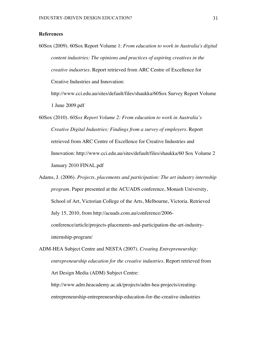#### **References**

60Sox (2009). 60Sox Report Volume 1: *From education to work in Australia's digital content industries: The opinions and practices of aspiring creatives in the creative industries.* Report retrieved from ARC Centre of Excellence for Creative Industries and Innovation:

http://www.cci.edu.au/sites/default/files/shaukka/60Sox Survey Report Volume 1 June 2009.pdf

- 60Sox (2010). *60Sox Report Volume 2: From education to work in Australia's Creative Digital Industries: Findings from a survey of employers.* Report retrieved from ARC Centre of Excellence for Creative Industries and Innovation: http://www.cci.edu.au/sites/default/files/shaukka/60 Sox Volume 2 January 2010 FINAL.pdf
- Adams, J. (2006). *Projects, placements and participation: The art industry internship program*. Paper presented at the ACUADS conference, Monash University, School of Art, Victorian College of the Arts, Melbourne, Victoria. Retrieved July 15, 2010, from http://acuads.com.au/conference/2006 conference/article/projects-placements-and-participation-the-art-industryinternship-program/
- ADM-HEA Subject Centre and NESTA (2007). *Creating Entrepreneurship: entrepreneurship education for the creative industries*. Report retrieved from Art Design Media (ADM) Subject Centre: http://www.adm.heacademy.ac.uk/projects/adm-hea-projects/creatingentrepreneurship-entrepreneurship-education-for-the-creative-industries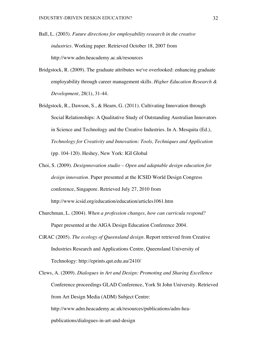- Ball, L. (2003). *Future directions for employability research in the creative industries*. Working paper. Retrieved October 18, 2007 from http://www.adm.heacademy.ac.uk/resources
- Bridgstock, R. (2009). The graduate attributes we've overlooked: enhancing graduate employability through career management skills. *Higher Education Research & Development,* 28(1), 31-44.
- Bridgstock, R., Dawson, S., & Hearn, G. (2011). Cultivating Innovation through Social Relationships: A Qualitative Study of Outstanding Australian Innovators in Science and Technology and the Creative Industries. In A. Mesquita (Ed.), *Technology for Creativity and Innovation: Tools, Techniques and Application*  (pp. 104-120). Heshey, New York: IGI Global
- Choi, S. (2009). *Designnovation studio – Open and adaptable design education for design innovation*. Paper presented at the ICSID World Design Congress conference, Singapore. Retrieved July 27, 2010 from http://www.icsid.org/education/education/articles1061.htm
- Churchman, L. (2004). *When a profession changes, how can curricula respond?* Paper presented at the AIGA Design Education Conference 2004.
- CiRAC (2005). *The ecology of Queensland design.* Report retrieved from Creative Industries Research and Applications Centre, Queensland University of Technology: http://eprints.qut.edu.au/2410/
- Clews, A. (2009). *Dialogues in Art and Design: Promoting and Sharing Excellence*  Conference proceedings GLAD Conference, York St John University. Retrieved from Art Design Media (ADM) Subject Centre: http://www.adm.heacademy.ac.uk/resources/publications/adm-heapublications/dialogues-in-art-and-design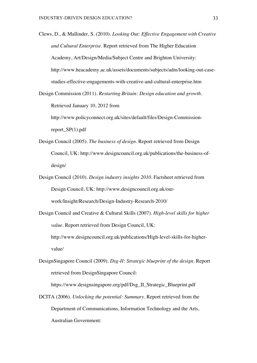Clews, D., & Mallinder, S. (2010). *Looking Out: Effective Engagement with Creative and Cultural Enterprise*. Report retrieved from The Higher Education Academy, Art/Design/Media/Subject Centre and Brighton University: http://www.heacademy.ac.uk/assets/documents/subjects/adm/looking-out-casestudies-effective-engagements-with-creative-and-cultural-enterprise.htm

Design Commission (2011). *Restarting Britain: Design education and growth*. Retrieved January 10, 2012 from

http://www.policyconnect.org.uk/sites/default/files/Design-Commissionreport\_SP(1).pdf

- Design Council (2005). *The business of design.* Report retrieved from Design Council, UK: http://www.designcouncil.org.uk/publications/the-business-ofdesign/
- Design Council (2010). *Design industry insights 2010.* Factsheet retrieved from Design Council, UK: http://www.designcouncil.org.uk/ourwork/Insight/Research/Design-Industry-Research-2010/
- Design Council and Creative & Cultural Skills (2007). *High-level skills for higher value.* Report retrieved from Design Council, UK: http://www.designcouncil.org.uk/publications/High-level-skills-for-highervalue/
- DesignSingapore Council (2009). *Dsg-II: Strategic blueprint of the design.* Report retrieved from DesignSingapore Council:

https://www.designsingapore.org/pdf/Dsg\_II\_Strategic\_Blueprint.pdf

DCITA (2006). *Unlocking the potential: Summary*. Report retrieved from the Department of Communications, Information Technology and the Arts, Australian Government: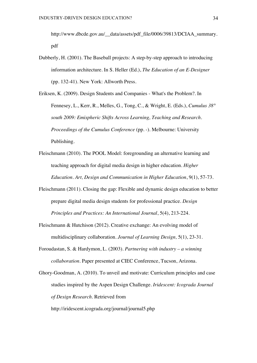http://www.dbcde.gov.au/\_\_data/assets/pdf\_file/0006/39813/DCIAA\_summary. pdf

Dubberly, H. (2001). The Baseball projects: A step-by-step approach to introducing information architecture. In S. Heller (Ed.), *The Education of an E-Designer* (pp. 132-41). New York: Allworth Press.

Eriksen, K. (2009). Design Students and Companies - What's the Problem?. In Fennesey, L., Kerr, R., Melles, G., Tong, C., & Wright, E. (Eds.), *Cumulus 38° south 2009: Emispheric Shifts Across Learning, Teaching and Research. Proceedings of the Cumulus Conference* (pp. -). Melbourne: University Publishing.

Fleischmann (2010). The POOL Model: foregrounding an alternative learning and teaching approach for digital media design in higher education. *Higher Education. Art, Design and Communication in Higher Education*, 9(1), 57-73.

Fleischmann (2011). Closing the gap: Flexible and dynamic design education to better prepare digital media design students for professional practice. *Design Principles and Practices: An International Journal*, 5(4), 213-224.

Fleischmann & Hutchison (2012). Creative exchange: An evolving model of multidisciplinary collaboration. *Journal of Learning Design,* 5(1), 23-31.

Foroudastan, S. & Hardymon, L. (2003). *Partnering with industry – a winning collaboration.* Paper presented at CIEC Conference, Tucson, Arizona.

Ghory-Goodman, A. (2010). To unveil and motivate: Curriculum principles and case studies inspired by the Aspen Design Challenge. *Iridescent: Icograda Journal of Design Research.* Retrieved from

http://iridescent.icograda.org/journal/journal5.php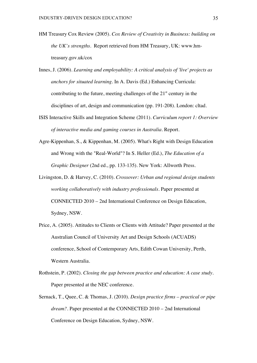- HM Treasury Cox Review (2005). *Cox Review of Creativity in Business: building on the UK's strengths*. Report retrieved from HM Treasury, UK: www.hmtreasury.gov.uk/cox
- Innes, J. (2006). *Learning and employability: A critical analysis of 'live' projects as anchors for situated learning.* In A. Davis (Ed.) Enhancing Curricula: contributing to the future, meeting challenges of the  $21<sup>st</sup>$  century in the disciplines of art, design and communication (pp. 191-208). London: cltad.
- ISIS Interactive Skills and Integration Scheme (2011). *Curriculum report 1: Overview of interactive media and gaming courses in Australia*. Report.
- Agre-Kippenhan, S., & Kippenhan, M. (2005). What's Right with Design Education and Wrong with the "Real-World"? In S. Heller (Ed.), *The Education of a Graphic Designer* (2nd ed., pp. 133-135). New York: Allworth Press.
- Livingston, D. & Harvey, C. (2010). *Crossover: Urban and regional design students working collaboratively with industry professionals.* Paper presented at CONNECTED 2010 – 2nd International Conference on Design Education, Sydney, NSW.
- Price, A. (2005). Attitudes to Clients or Clients with Attitude? Paper presented at the Australian Council of University Art and Design Schools (ACUADS) conference, School of Contemporary Arts, Edith Cowan University, Perth, Western Australia.
- Rothstein, P. (2002). *Closing the gap between practice and education: A case study*. Paper presented at the NEC conference.
- Sernack, T., Quee, C. & Thomas, J. (2010). *Design practice firms – practical or pipe dream?*. Paper presented at the CONNECTED 2010 – 2nd International Conference on Design Education, Sydney, NSW.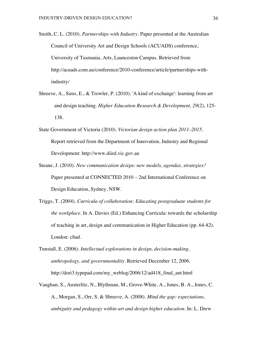- Smith, C. L. (2010). *Partnerships with Industry.* Paper presented at the Australian Council of University Art and Design Schools (ACUADS) conference, University of Tasmania, Arts, Launceston Campus. Retrieved from http://acuads.com.au/conference/2010-conference/article/partnerships-withindustry/
- Shreeve, A., Sims, E., & Trowler, P. (2010). 'A kind of exchange': learning from art and design teaching. *Higher Education Research & Development, 29*(2), 125- 138.
- State Government of Victoria (2010). *Victorian design action plan 2011–2015*. Report retrieved from the Department of Innovation, Industry and Regional Development: http://www.diird.vic.gov.au
- Steane, J. (2010). *New communication design: new models, agendas, strategies?* Paper presented at CONNECTED 2010 – 2nd International Conference on Design Education, Sydney, NSW.
- Triggs, T. (2004). *Curricula of collaboration: Educating postgraduate students for the workplace*. In A. Davies (Ed.) Enhancing Curricula: towards the scholarship of teaching in art, design and communication in Higher Education (pp. 64-82). London: cltad.
- Tunstall, E. (2006). *Intellectual explorations in design, decision-making, anthropology, and governmentality*. Retrieved December 12, 2006. http://dori3.typepad.com/my\_weblog/2006/12/ad418\_final\_ant.html
- Vaughan, S., Austerlitz, N., Blythman, M., Grove-White, A., Jones, B. A., Jones, C. A., Morgan, S., Orr, S. & Shreeve, A. (2008). *Mind the gap: expectations, ambiguity and pedagogy within art and design higher education.* In: L. Drew